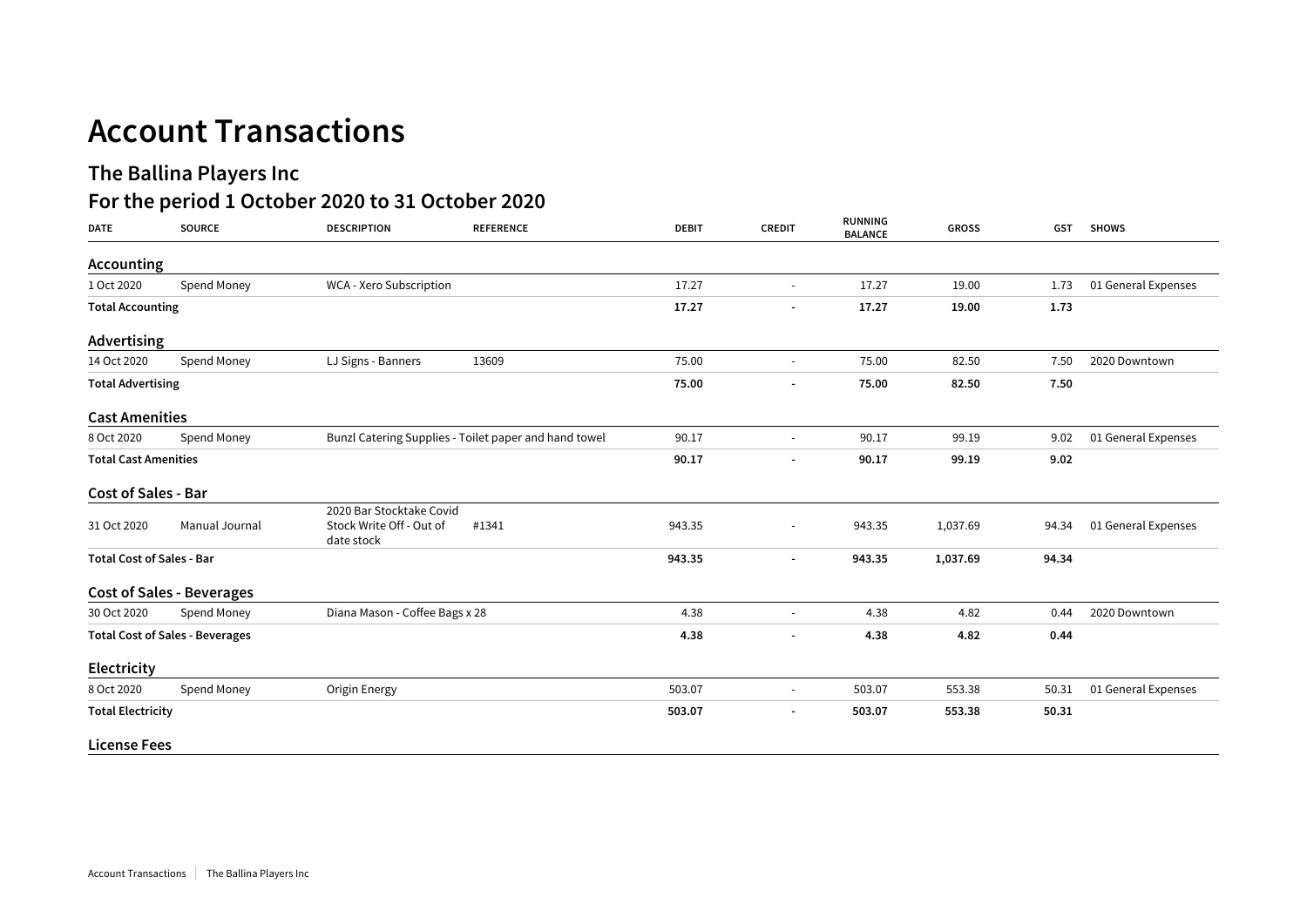## **Account Transactions**

## **The Ballina Players Inc**

## **For the period 1 October 2020 to 31 October 2020**

| <b>DATE</b>                            | <b>SOURCE</b>                    | <b>DESCRIPTION</b><br><b>REFERENCE</b>                                      | <b>DEBIT</b>             | <b>CREDIT</b>            | <b>RUNNING</b><br><b>BALANCE</b> | <b>GROSS</b> | <b>GST</b> | <b>SHOWS</b>        |
|----------------------------------------|----------------------------------|-----------------------------------------------------------------------------|--------------------------|--------------------------|----------------------------------|--------------|------------|---------------------|
| Accounting                             |                                  |                                                                             |                          |                          |                                  |              |            |                     |
| 1 Oct 2020                             | Spend Money                      | WCA - Xero Subscription                                                     | 17.27                    | $\sim$                   | 17.27                            | 19.00        | 1.73       | 01 General Expenses |
| <b>Total Accounting</b>                |                                  | 17.27                                                                       | $\overline{\phantom{a}}$ | 17.27                    | 19.00                            | 1.73         |            |                     |
| Advertising                            |                                  |                                                                             |                          |                          |                                  |              |            |                     |
| 14 Oct 2020                            | Spend Money                      | LJ Signs - Banners<br>13609                                                 | 75.00                    | $\sim$                   | 75.00                            | 82.50        | 7.50       | 2020 Downtown       |
| <b>Total Advertising</b>               |                                  |                                                                             | 75.00                    |                          | 75.00                            | 82.50        | 7.50       |                     |
| <b>Cast Amenities</b>                  |                                  |                                                                             |                          |                          |                                  |              |            |                     |
| 8 Oct 2020                             | Spend Money                      | Bunzl Catering Supplies - Toilet paper and hand towel                       | 90.17                    | $\overline{\phantom{a}}$ | 90.17                            | 99.19        | 9.02       | 01 General Expenses |
| <b>Total Cast Amenities</b>            |                                  |                                                                             | 90.17                    | $\overline{\phantom{a}}$ | 90.17                            | 99.19        | 9.02       |                     |
| Cost of Sales - Bar                    |                                  |                                                                             |                          |                          |                                  |              |            |                     |
| 31 Oct 2020                            | Manual Journal                   | 2020 Bar Stocktake Covid<br>Stock Write Off - Out of<br>#1341<br>date stock | 943.35                   |                          | 943.35                           | 1,037.69     | 94.34      | 01 General Expenses |
| <b>Total Cost of Sales - Bar</b>       |                                  | 943.35                                                                      | $\overline{\phantom{a}}$ | 943.35                   | 1,037.69                         | 94.34        |            |                     |
|                                        | <b>Cost of Sales - Beverages</b> |                                                                             |                          |                          |                                  |              |            |                     |
| 30 Oct 2020                            | Spend Money                      | Diana Mason - Coffee Bags x 28                                              | 4.38                     | $\overline{\phantom{a}}$ | 4.38                             | 4.82         | 0.44       | 2020 Downtown       |
| <b>Total Cost of Sales - Beverages</b> |                                  |                                                                             | 4.38                     | $\overline{\phantom{a}}$ | 4.38                             | 4.82         | 0.44       |                     |
| Electricity                            |                                  |                                                                             |                          |                          |                                  |              |            |                     |
| 8 Oct 2020                             | Spend Money                      | Origin Energy                                                               | 503.07                   | $\sim$                   | 503.07                           | 553.38       | 50.31      | 01 General Expenses |
| <b>Total Electricity</b>               |                                  |                                                                             | 503.07                   | $\overline{\phantom{a}}$ | 503.07                           | 553.38       | 50.31      |                     |
| <b>License Fees</b>                    |                                  |                                                                             |                          |                          |                                  |              |            |                     |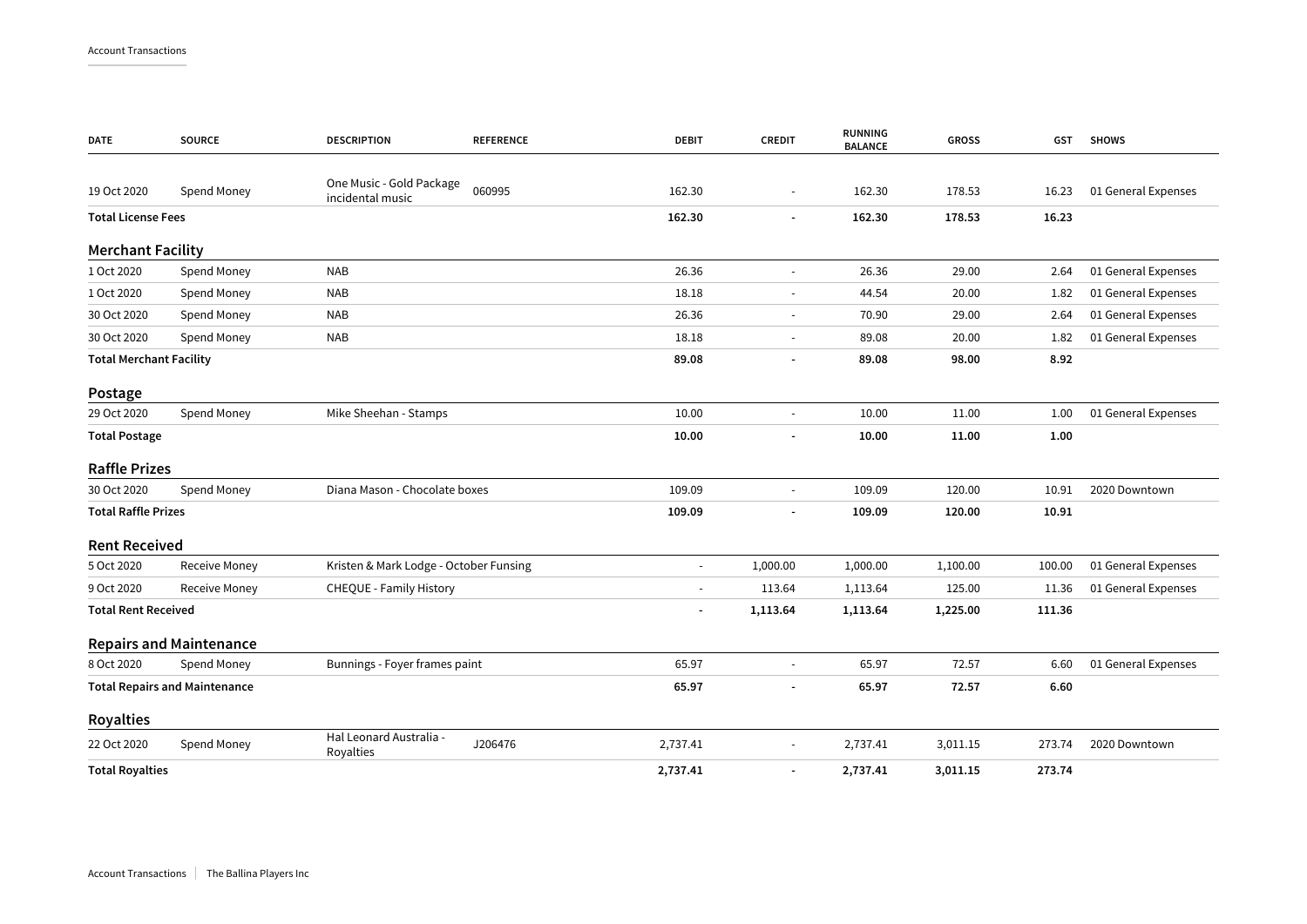| <b>DATE</b>                          | <b>SOURCE</b>                  | <b>DESCRIPTION</b><br><b>REFERENCE</b>                 | <b>DEBIT</b>             | <b>CREDIT</b>            | <b>RUNNING</b><br><b>BALANCE</b> | <b>GROSS</b> | <b>GST</b> | <b>SHOWS</b>        |
|--------------------------------------|--------------------------------|--------------------------------------------------------|--------------------------|--------------------------|----------------------------------|--------------|------------|---------------------|
|                                      |                                |                                                        |                          |                          |                                  |              |            |                     |
| 19 Oct 2020                          | Spend Money                    | One Music - Gold Package<br>060995<br>incidental music | 162.30                   | $\overline{\phantom{a}}$ | 162.30                           | 178.53       | 16.23      | 01 General Expenses |
| <b>Total License Fees</b>            |                                |                                                        | 162.30                   | $\overline{a}$           | 162.30                           | 178.53       | 16.23      |                     |
| <b>Merchant Facility</b>             |                                |                                                        |                          |                          |                                  |              |            |                     |
| 1 Oct 2020                           | Spend Money                    | <b>NAB</b>                                             | 26.36                    | $\sim$                   | 26.36                            | 29.00        | 2.64       | 01 General Expenses |
| 1 Oct 2020                           | Spend Money                    | <b>NAB</b>                                             | 18.18                    |                          | 44.54                            | 20.00        | 1.82       | 01 General Expenses |
| 30 Oct 2020                          | Spend Money                    | <b>NAB</b>                                             | 26.36                    | $\blacksquare$           | 70.90                            | 29.00        | 2.64       | 01 General Expenses |
| 30 Oct 2020                          | Spend Money                    | <b>NAB</b>                                             | 18.18                    |                          | 89.08                            | 20.00        | 1.82       | 01 General Expenses |
| <b>Total Merchant Facility</b>       |                                |                                                        | 89.08                    | $\overline{a}$           | 89.08                            | 98.00        | 8.92       |                     |
| Postage                              |                                |                                                        |                          |                          |                                  |              |            |                     |
| 29 Oct 2020                          | Spend Money                    | Mike Sheehan - Stamps                                  | 10.00                    | $\omega$                 | 10.00                            | 11.00        | 1.00       | 01 General Expenses |
| <b>Total Postage</b>                 |                                |                                                        | 10.00                    | $\overline{a}$           | 10.00                            | 11.00        | 1.00       |                     |
| <b>Raffle Prizes</b>                 |                                |                                                        |                          |                          |                                  |              |            |                     |
| 30 Oct 2020                          | Spend Money                    | Diana Mason - Chocolate boxes                          | 109.09                   | $\overline{\phantom{a}}$ | 109.09                           | 120.00       | 10.91      | 2020 Downtown       |
| <b>Total Raffle Prizes</b>           |                                |                                                        | 109.09                   |                          | 109.09                           | 120.00       | 10.91      |                     |
| <b>Rent Received</b>                 |                                |                                                        |                          |                          |                                  |              |            |                     |
| 5 Oct 2020                           | Receive Money                  | Kristen & Mark Lodge - October Funsing                 | $\overline{\phantom{m}}$ | 1,000.00                 | 1,000.00                         | 1,100.00     | 100.00     | 01 General Expenses |
| 9 Oct 2020                           | <b>Receive Money</b>           | CHEQUE - Family History                                | $\frac{1}{2}$            | 113.64                   | 1,113.64                         | 125.00       | 11.36      | 01 General Expenses |
| <b>Total Rent Received</b>           |                                |                                                        | $\overline{\phantom{a}}$ | 1,113.64                 | 1,113.64                         | 1,225.00     | 111.36     |                     |
|                                      | <b>Repairs and Maintenance</b> |                                                        |                          |                          |                                  |              |            |                     |
| 8 Oct 2020                           | Spend Money                    | Bunnings - Foyer frames paint                          | 65.97                    | $\overline{a}$           | 65.97                            | 72.57        | 6.60       | 01 General Expenses |
| <b>Total Repairs and Maintenance</b> |                                |                                                        | 65.97                    |                          | 65.97                            | 72.57        | 6.60       |                     |
| <b>Royalties</b>                     |                                |                                                        |                          |                          |                                  |              |            |                     |
| 22 Oct 2020                          | Spend Money                    | Hal Leonard Australia -<br>J206476<br>Royalties        | 2,737.41                 | $\blacksquare$           | 2,737.41                         | 3,011.15     | 273.74     | 2020 Downtown       |
| <b>Total Royalties</b>               |                                |                                                        | 2,737.41                 | $\overline{\phantom{a}}$ | 2,737.41                         | 3,011.15     | 273.74     |                     |